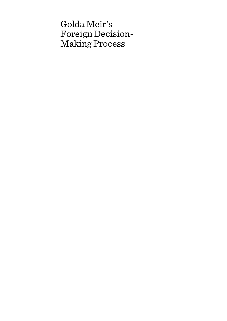# Golda Meir's Foreign Decision-Making Process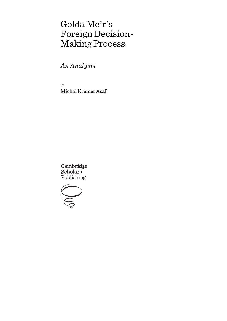# Golda Meir's Foreign Decision-Making Process:

*An Analysis*

By Michal Kremer Asaf

Cambridge Scholars Publishing

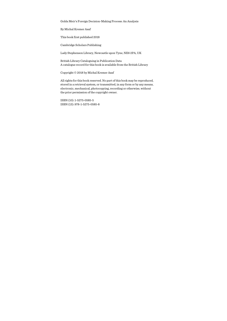Golda Meir's Foreign Decision-Making Process: An Analysis

By Michal Kremer Asaf

This book first published 2018

Cambridge Scholars Publishing

Lady Stephenson Library, Newcastle upon Tyne, NE6 2PA, UK

British Library Cataloguing in Publication Data A catalogue record for this book is available from the British Library

Copyright © 2018 by Michal Kremer Asaf

All rights for this book reserved. No part of this book may be reproduced, stored in a retrieval system, or transmitted, in any form or by any means, electronic, mechanical, photocopying, recording or otherwise, without the prior permission of the copyright owner.

ISBN (10): 1-5275-0585-5 ISBN (13): 978-1-5275-0585-8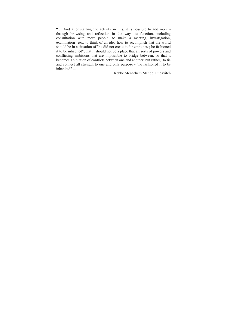"... And after starting the activity in this, it is possible to add more through browsing and reflection in the ways to function, including consultation with more people, to make a meeting, investigation, examination etc., to think of an idea how to accomplish that the world should be in a situation of "he did not create it for emptiness; he fashioned it to be inhabited", that it should not be a place that all sorts of powers and conflicting ambitions that are impossible to bridge between, so that it becomes a situation of conflicts between one and another, but rather, to tie and connect all strength to one and only purpose - "he fashioned it to be inhabited" ..."

Rebbe Menachem Mendel Lubavitch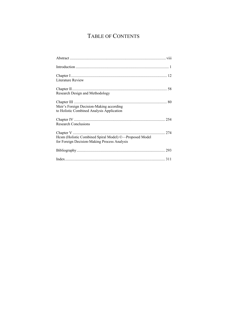# TABLE OF CONTENTS

| Literature Review                                                                                      |  |
|--------------------------------------------------------------------------------------------------------|--|
| Research Design and Methodology                                                                        |  |
| Meir's Foreign Decision-Making according<br>to Holistic Combined Analysis Application                  |  |
| <b>Research Conclusions</b>                                                                            |  |
| Hcsm (Holistic Combined Spiral Model) ©-Proposed Model<br>for Foreign Decision-Making Process Analysis |  |
|                                                                                                        |  |
|                                                                                                        |  |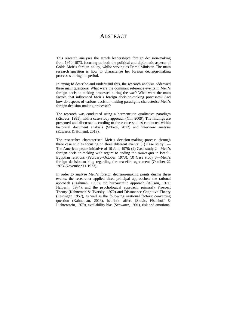# **ABSTRACT**

This research analyses the Israeli leadership's foreign decision-making from 1970–1973, focusing on both the political and diplomatic aspects of Golda Meir's foreign policy, whilst serving as Prime Minister. The main research question is how to characterise her foreign decision-making processes during the period.

In trying to describe and understand this**,** the research analysis addressed three main questions: What were the dominant reference events in Meir's foreign decision-making processes during the war? What were the main factors that influenced Meir's foreign decision-making processes? And how do aspects of various decision-making paradigms characterise Meir's foreign decision-making processes?

The research was conducted using a hermeneutic qualitative paradigm (Ricoeur, 1981), with a case-study approach (Yin, 2009). The findings are presented and discussed according to three case studies conducted within historical document analysis (Shkedi, 2012) and interview analysis (Edwards & Holland, 2013).

The researcher characterised Meir's decision-making process through three case studies focusing on three different events: (1) Case study 1— The American peace initiative of 19 June 1970; (2) Case study 2—Meir's foreign decision-making with regard to ending the *status quo* in Israeli-Egyptian relations (February–October, 1973). (3) Case study 3—Meir's foreign decision-making regarding the ceasefire agreement (October 22 1973–November 11 1973).

In order to analyse Meir's foreign decision-making points during these events, the researcher applied three principal approaches: the rational approach (Cashman, 1993), the bureaucratic approach (Allison, 1971; Halperin, 1974), and the psychological approach, primarily Prospect Theory (Kahneman & Tversky, 1979) and Dissonance Cognitive Theory (Festinger, 1957), as well as the following irrational factors: converting question (Kahneman, 2013), heuristic affect (Slovic, Fischhoff & Lichtenstein, 1979), availability bias (Schwartz, 1991), risk and emotional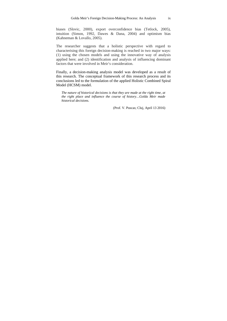biases (Slovic, 2000), export overconfidence bias (Tetlock, 2005), intuition (Simon, 1992, Dawes & Dana, 2004) and optimism bias (Kahneman & Lovallo, 2005).

The researcher suggests that a holistic perspective with regard to characterising this foreign decision-making is reached in two major ways: (1) using the chosen models and using the innovative way of analysis applied here; and (2) identification and analysis of influencing dominant factors that were involved in Meir's consideration.

Finally, a decision-making analysis model was developed as a result of this research. The conceptual framework of this research process and its conclusions led to the formulation of the applied Holistic Combined Spiral Model (HCSM) model.

*The nature of historical decisions is that they are made at the right time, at the right place and influence the course of history…Golda Meir made historical decisions.* 

(Prof. V. Puscas; Cluj, April 13 2016)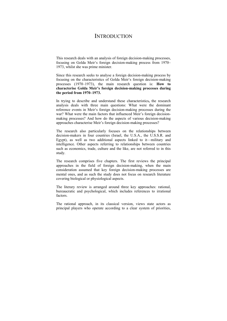# **INTRODUCTION**

This research deals with an analysis of foreign decision-making processes, focusing on Golda Meir's foreign decision-making process from 1970– 1973, whilst she was prime minister.

Since this research seeks to analyse a foreign decision-making process by focusing on the characteristics of Golda Meir's foreign decision-making processes (1970–1973), the main research question is: **How to characterise Golda Meir's foreign decision-making processes during the period from 1970–1973.**

In trying to describe and understand these characteristics**,** the research analysis deals with three main questions: What were the dominant reference events in Meir's foreign decision-making processes during the war? What were the main factors that influenced Meir's foreign decisionmaking processes? And how do the aspects of various decision-making approaches characterise Meir's foreign decision-making processes?

The research also particularly focuses on the relationships between decision-makers in four countries (Israel, the U.S.A., the U.S.S.R. and Egypt), as well as two additional aspects linked to it—military and intelligence. Other aspects referring to relationships between countries such as economics, trade, culture and the like, are not referred to in this study.

The research comprises five chapters. The first reviews the principal approaches in the field of foreign decision-making, when the main consideration assumed that key foreign decision-making processes are mental ones, and as such the study does not focus on research literature covering biological or physiological aspects.

The literary review is arranged around three key approaches: rational, bureaucratic and psychological, which includes references to irrational factors.

The rational approach, in its classical version, views state actors as principal players who operate according to a clear system of priorities,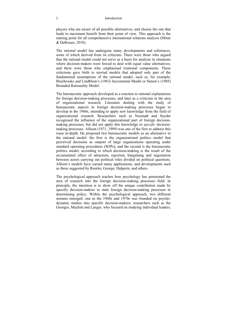### 2 Introduction

players who are aware of all possible alternatives, and choose the one that leads to maximum benefit from their point of view. This approach is the starting point for all comprehensive international relations analysis (Mintz & DeRouen, 2010).

The rational model has undergone many developments and references, some of which derived from its criticism. There were those who argued that the rational model could not serve as a basis for analysis in situations where decision-makers were forced to deal with equal value alternatives; and there were those who emphasised irrational components. These criticisms gave birth to myriad models that adopted only part of the fundamental assumptions of the rational model, such as, for example, Braybrooke and Lindblom's (1963) Incremental Model or Simon's (1985) Bounded Rationality Model.

The bureaucratic approach developed as a reaction to rational explanations for foreign decision-making processes, and later as a criticism in the area of organizational research. Literature dealing with the study of bureaucratic aspects in foreign decision-making processes began to develop in the 1960s, intending to apply new knowledge from the field of organizational research. Researchers such as Neustadt and Snyder recognised the influence of the organizational part of foreign decisionmaking processes, but did not apply this knowledge to *specific* decisionmaking processes. Allison (1971, 1999) was one of the first to address this issue in-depth. He proposed two bureaucratic models as an alternative to the rational model: the first is the organizational politics model that perceived decisions as outputs of large organizations operating under standard operating procedures (SOPs); and the second is the bureaucratic politics model, according to which decision-making is the result of the accumulated effect of attraction, rejection, bargaining and negotiation between actors carrying out political roles divided on political questions. Allison's models have earned many applications, and developments such as those suggested by Rourke, George, Halperin, and others.

The psychological approach teaches how psychology has penetrated the area of research into the foreign decision-making processes field. In principle, the intention is to show off the unique contribution made by specific decision-makers to state foreign decision-making processes in determining policy. Within the psychological approach, two different streams emerged: one in the 1960s and 1970s was founded on psychodynamic studies into specific decision-makers; researchers such as the Georges, Mazlish and Langer, who focused on studying individual leaders,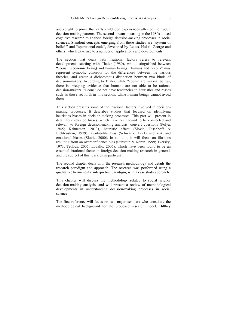and sought to prove that early childhood experiences affected their adult decision-making patterns. The second stream—starting in the 1980s—used cognitive research to analyse foreign decision-making processes in social sciences. Standout concepts emerging from these studies are "system of beliefs" and "operational code", developed by Leites, Holsti, George and others, which gave rise to a number of applications and developments.

The section that deals with irrational factors refers to relevant developments starting with Thaler (1980), who distinguished between "econs" (economic being) and human beings. Humans and "econs" may represent symbolic concepts for the differences between the various theories, and create a dichotomous distinction between two kinds of decision-makers. According to Thaler, while "econs" are rational beings, there is sweeping evidence that humans are not able to be rational decision-makers. "Econs" do not have tendencies to heuristics and biases such as those set forth in this section, while human beings cannot avoid them.

This section presents some of the irrational factors involved in decisionmaking processes. It describes studies that focused on identifying heuristics biases in decision-making processes. This part will present in detail four selected biases, which have been found to be connected and relevant to foreign decision-making analysis: convert questions (Polya, 1945; Kahneman, 2013), heuristic effect (Slovic, Fischhoff & Lichtenstein, 1979), availability bias (Schwartz, 1991) and risk and emotional biases (Slovic, 2000). In addition, it will focus on illusions resulting from an overconfidence bias (Sunstein & Koran, 1999; Tversky, 1973; Tetlock, 2005; Lovallo, 2005), which have been found to be an essential irrational factor in foreign decision-making research in general, and the subject of this research in particular.

The second chapter deals with the research methodology and details the research paradigm and approach. The research was performed using a qualitative hermeneutic interpretive paradigm, with a case study approach.

This chapter will discuss the methodology related to social science decision-making analysis, and will present a review of methodological developments in understanding decision-making processes in social science.

The first reference will focus on two major scholars who constitute the methodological background for the proposed research model, Dilthey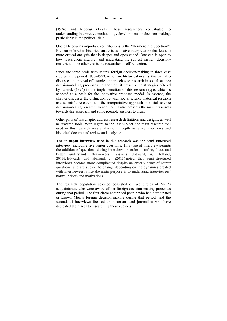### 4 Introduction

(1976) and Ricoeur (1981). These researchers contributed to understanding interpretive methodology developments in decision-making, particularly in the political field.

One of Ricouer's important contributions is the "Hermeneutic Spectrum". Ricoeur referred to historical analysis as a naïve interpretation that leads to more critical analysis that is deeper and open-ended. One end is open to how researchers interpret and understand the subject matter (decisionmaker), and the other end is the researchers' self-reflection.

Since the topic deals with Meir's foreign decision-making in three case studies in the period 1970–1973, which are **historical events**, this part also discusses the revival of historical approaches to research in social science decision-making processes. In addition, it presents the strategies offered by Lustick (1996) in the implementation of this research type, which is adopted as a basis for the innovative proposed model. In essence, the chapter discusses the distinction between social science historical research and scientific research, and the interpretative approach in social science decision-making research. In addition, it also presents the main criticisms towards this approach and some possible answers to them.

Other parts of this chapter address research definitions and designs, as well as research tools. With regard to the last subject, the main research tool used in this research was analysing in depth narrative interviews and historical documents' review and analysis:

**The in-depth interview** used in this research was the semi-structured interview, including five starter-questions. This type of interview permits the addition of questions during interviews in order to refine, focus and better understand interviewees' answers (Edward, & Holland, 2013). Edwards and Holland, J. (2013) noted that semi-structured interviews become more complicated despite an orderly array of starter questions, and are subject to change depending on the dynamics created with interviewees, since the main purpose is to understand interviewees' norms, beliefs and motivations.

The research population selected consisted of two circles of Meir's acquaintance, who were aware of her foreign decision-making processes during that period. The first circle comprised people who had participated or known Meir's foreign decision-making during that period, and the second, of interviews focused on historians and journalists who have dedicated their lives to researching these subjects.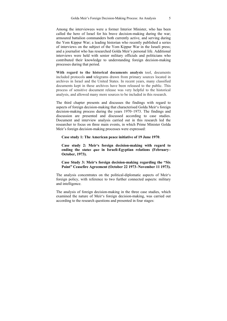Among the interviewees were a former Interior Minister, who has been called the hero of Israel for his brave decision-making during the war; armoured battalion commanders both currently active, and serving during the Yom Kippur War; a leading historian who recently published a series of interviews on the subject of the Yom Kippur War in the Israeli press; and a journalist who has researched Golda Meir's personal life. Additional interviews were held with senior military officials and politicians who contributed their knowledge to understanding foreign decision-making processes during that period.

**With regard to the historical documents analysis** tool, documents included protocols **and** telegrams drawn from primary sources located in archives in Israel and the United States. In recent years, many classified documents kept in these archives have been released to the public. This process of sensitive document release was very helpful to the historical analysis, and allowed many more sources to be included in this research.

The third chapter presents and discusses the findings with regard to aspects of foreign decision-making that characterised Golda Meir's foreign decision-making process during the years 1970–1973. The findings and discussion are presented and discussed according to case studies. Document and interview analysis carried out in this research led the researcher to focus on three main events, in which Prime Minister Golda Meir's foreign decision-making processes were expressed:

**Case study 1: The American peace initiative of 19 June 1970**.

**Case study 2: Meir's foreign decision-making with regard to ending the** *status quo* **in Israeli-Egyptian relations (February– October, 1973).** 

### **Case Study 3: Meir's foreign decision-making regarding the "Six Point" Ceasefire Agreement (October 22 1973–November 11 1973).**

The analysis concentrates on the political-diplomatic aspects of Meir's foreign policy, with reference to two further connected aspects: military and intelligence.

The analysis of foreign decision-making in the three case studies, which examined the nature of Meir's foreign decision-making, was carried out according to the research questions and presented in four stages: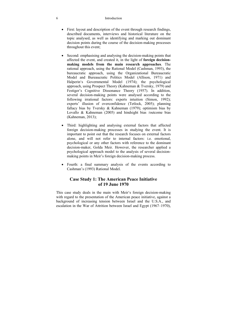### 6 Introduction

- First: layout and description of the event through research findings, described documents, interviews and historical literature on the topic analysed, as well as identifying and marking out dominant decision points during the course of the decision-making processes throughout this event;
- Second: emphasising and analysing the decision-making points that affected the event, and created it, in the light of **foreign decisionmaking models from the main research approaches**. The rational approach, using the Rational Model (Cashman, 1993), the bureaucratic approach, using the Organizational Bureaucratic Model and Bureaucratic Politics Model (Allison, 1971) and Halperin's Governmental Model (1974); the psychological approach, using Prospect Theory (Kahneman & Tversky, 1979) and Festiger's Cognitive Dissonance Theory (1957). In addition, several decision-making points were analysed according to the following irrational factors: experts intuition (Simon, 1992); experts' illusion of overconfidence (Tetlock, 2005); planning fallacy bias by Tversky & Kahneman (1979); optimism bias by Lovallo & Kahneman (2005) and hindsight bias /outcome bias (Kahneman, 2013);
- Third: highlighting and analysing external factors that affected foreign decision-making processes in studying the event. It is important to point out that the research focuses on external factors alone, and will not refer to internal factors: i.e. emotional, psychological or any other factors with reference to the dominant decision-maker, Golda Meir. However, the researcher applied a psychological approach model to the analysis of several decisionmaking points in Meir's foreign decision-making process.
- Fourth: a final summary analysis of the events according to Cashman's (1993) Rational Model.

## **Case Study 1: The American Peace Initiative of 19 June 1970**

This case study deals in the main with Meir's foreign decision-making with regard to the presentation of the American peace initiative, against a background of increasing tension between Israel and the U.S.A., and escalation in the War of Attrition between Israel and Egypt (1967–1970),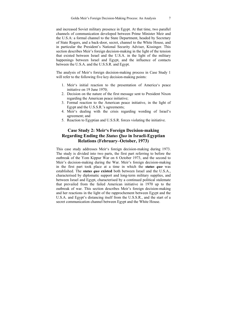and increased Soviet military presence in Egypt. At that time, two parallel channels of communication developed between Prime Minister Meir and the U.S.A: a formal channel to the State Department, headed by Secretary of State Rogers, and a back-door, secret, channel to the White House, and in particular the President's National Security Adviser, Kissinger. This section describes Meir's foreign decision-making in the light of the tension that existed between Israel and the U.S.A. in the light of the military happenings between Israel and Egypt, and the influence of contacts between the U.S.A. and the U.S.S.R. and Egypt.

The analysis of Meir's foreign decision-making process in Case Study 1 will refer to the following five key decision-making points:

- 1. Meir's initial reaction to the presentation of America's peace initiative on 19 June 1970;
- 2. Decision on the nature of the first message sent to President Nixon regarding the American peace initiative;
- 3. Formal reaction to the American peace initiative, in the light of Egypt and the U.S.S.R.'s agreements;
- 4. Meir's dealing with the crisis regarding wording of Israel's agreement; and
- 5. Reaction to Egyptian and U.S.S.R. forces violating the initiative.

## **Case Study 2: Meir's Foreign Decision-making Regarding Ending the** *Status Quo* **in Israeli-Egyptian Relations (February–October, 1973)**

This case study addresses Meir's foreign decision-making during 1973. The study is divided into two parts, the first part referring to before the outbreak of the Yom Kippur War on 6 October 1973, and the second to Meir's decision-making during the War. Meir's foreign decision-making in the first part took place at a time in which the *status quo* was established. The *status quo* **existed** both between Israel and the U.S.A., characterised by diplomatic support and long-term military supplies, and between Israel and Egypt, characterised by a continued political stalemate that prevailed from the failed American initiative in 1970 up to the outbreak of war. This section describes Meir's foreign decision-making and her reactions in the light of the rapprochement between Egypt and the U.S.A. and Egypt's distancing itself from the U.S.S.R., and the start of a secret communication channel between Egypt and the White House.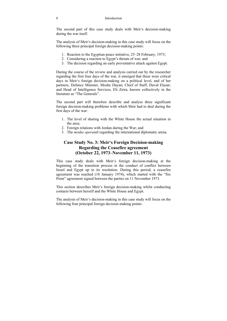The second part of this case study deals with Meir's decision-making during the war itself.

The analysis of Meir's decision-making in this case study will focus on the following three principal foreign decision-making points:

- 1. Reaction to the Egyptian peace initiative, 25–28 February, 1973;
- 2. Considering a reaction to Egypt's threats of war; and
- 3. The decision regarding an early preventative attack against Egypt.

During the course of the review and analysis carried out by the researcher regarding the first four days of the war, it emerged that these were critical days in Meir's foreign decision-making on a political level, and of her partners, Defence Minister, Moshe Dayan; Chief of Staff, David Elazar; and Head of Intelligence Services, Eli Zeira, known collectively in the literature as "The Generals".

The second part will therefore describe and analyse three significant foreign decision-making problems with which Meir had to deal during the first days of the war:

- 1. The level of sharing with the White House the actual situation in the area;
- 2. Foreign relations with Jordan during the War; and
- 3. The *modus operandi* regarding the international diplomatic arena.

# **Case Study No. 3: Meir's Foreign Decision-making Regarding the Ceasefire agreement (October 22, 1973–November 11, 1973)**

This case study deals with Meir's foreign decision-making at the beginning of the transition process in the conduct of conflict between Israel and Egypt up to its resolution. During this period, a ceasefire agreement was reached (18 January 1974), which started with the "Six Point" agreement signed between the parties on 11 November 1973.

This section describes Meir's foreign decision-making whilst conducting contacts between herself and the White House and Egypt.

The analysis of Meir's decision-making in this case study will focus on the following four principal foreign decision-making points: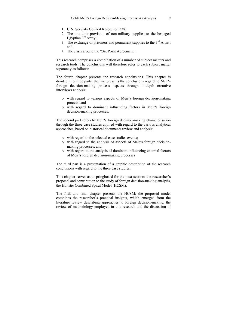- 1. U.N. Security Council Resolution 338;
- 2. The one-time provision of non-military supplies to the besieged Egyptian 3<sup>rd</sup> Army:
- 3. The exchange of prisoners and permanent supplies to the  $3<sup>rd</sup>$  Army; and
- 4. The crisis around the "Six Point Agreement".

This research comprises a combination of a number of subject matters and research tools. The conclusions will therefore refer to each subject matter separately as follows:

The fourth chapter presents the research conclusions. This chapter is divided into three parts: the first presents the conclusions regarding Meir's foreign decision-making process aspects through in-depth narrative interviews analysis:

- o with regard to various aspects of Meir's foreign decision-making process; and
- o with regard to dominant influencing factors in Meir's foreign decision-making processes.

The second part refers to Meir's foreign decision-making characterisation through the three case studies applied with regard to the various analytical approaches, based on historical documents review and analysis:

- o with regard to the selected case studies events;
- o with regard to the analysis of aspects of Meir's foreign decisionmaking processes; and
- o with regard to the analysis of dominant influencing external factors of Meir's foreign decision-making processes

The third part is a presentation of a graphic description of the research conclusions with regard to the three case studies.

This chapter serves as a springboard for the next section: the researcher's proposal and contribution to the study of foreign decision-making analysis, the Holistic Combined Spiral Model (HCSM).

The fifth and final chapter presents the HCSM: the proposed model combines the researcher's practical insights, which emerged from the literature review describing approaches to foreign decision-making, the review of methodology employed in this research and the discussion of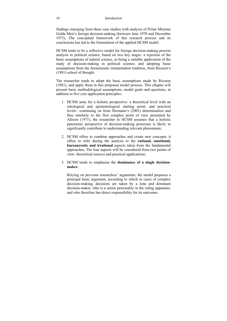findings emerging from three case studies with analysis of Prime Minister Golda Meir's foreign decision-making (between June 1970 and December 1973). The conceptual framework of this research process and its conclusions has led to the formulation of the applied HCSM model.

HCSM tends to be a reflective model for foreign decision-making process analysis in political science, based on two key stages: a rejection of the basic assumptions of natural science, as being a suitable application of the study of decision-making in political science; and adopting basic assumptions from the hermeneutic interpretation tradition, from Ricoeur's (1981) school of thought.

The researcher tends to adopt the basic assumptions made by Ricoeur (1981), and apply them in this proposed model process. This chapter will present basic methodological assumptions, model goals and questions, in addition to five core application principles:

- 1. HCSM aims for a holistic perspective: a theoretical level with an ontological and epistemological starting point; and practical levels—continuing on from Hermann's (2001) determination and thus similarly to the first complex point of view presented by Allison (1971), the researcher in HCSM assumes that a holistic panoramic perspective of decision-making processes is likely to significantly contribute to understanding relevant phenomena;
- 2. HCSM offers to combine approaches and create new concepts; it offers to refer during the analysis to the **rational, emotional, bureaucratic and irrational** aspects taken from the fundamental approaches**.** The four aspects will be considered from two points of view: theoretical sources and practical applications;
- 3. HCSM tends to emphasise the **dominance of a single decisionmaker.**

Relying on previous researchers' arguments, the model proposes a principal basic argument, according to which in cases of complex decision-making, decisions are taken by a lone and dominant decision-maker, who is a senior personality in the ruling apparatus, and who therefore has direct responsibility for its outcomes.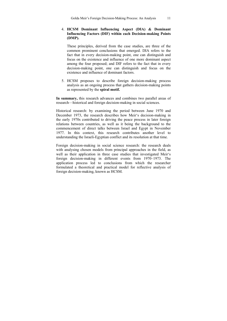### 4. **HCSM Dominant Influencing Aspect (DIA) & Dominant Influencing Factors (DIF) within each Decision-making Points (DMP).**

These principles, derived from the case studies, are three of the common prominent conclusions that emerged. DIA refers to the fact that in every decision-making point, one can distinguish and focus on the existence and influence of one more dominant aspect among the four proposed; and DIF refers to the fact that in every decision-making point, one can distinguish and focus on the existence and influence of dominant factors.

5. HCSM proposes to describe foreign decision-making process analysis as an ongoing process that gathers decision-making points as represented by the **spiral motif.**

**In summary,** this research advances and combines two parallel areas of research—historical and foreign decision-making in social sciences.

Historical research: by examining the period between June 1970 and December 1973, the research describes how Meir's decision-making in the early 1970s contributed to driving the peace process in later foreign relations between countries, as well as it being the background to the commencement of direct talks between Israel and Egypt in November 1977. In this context, this research contributes another level to understanding the Israeli-Egyptian conflict and its resolution at that time.

Foreign decision-making in social science research: the research deals with analysing chosen models from principal approaches in the field, as well as their application in three case studies that investigated Meir's foreign decision-making in different events from 1970–1973. The application process led to conclusions from which the researcher formulated a theoretical and practical model for reflective analysis of foreign decision-making, known as HCSM.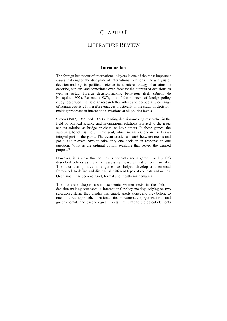# CHAPTER I

# LITERATURE REVIEW

### **Introduction**

The foreign behaviour of international players is one of the most important issues that engage the discipline of international relations**.** The analysis of decision-making in political science is a micro-strategy that aims to describe, explain, and sometimes even forecast the outputs of decisions as well as actual foreign decision-making behaviour itself (Bueno de Mosquita, 1992). Rosenau (1987), one of the pioneers of foreign policy study, described the field as research that intends to decode a wide range of human activity. It therefore engages practically in the study of decisionmaking processes in international relations at all politics levels.

Simon (1982, 1985, and 1992) a leading decision-making researcher in the field of political science and international relations referred to the issue and its solution as bridge or chess, as have others. In these games, the sweeping benefit is the ultimate goal, which means victory in itself is an integral part of the game. The event creates a match between means and goals, and players have to take only one decision in response to one question: What is the optimal option available that serves the desired purpose?

However, it is clear that politics is certainly not a game. Casif (2005) described politics as the art of assessing measures that others may take. The idea that politics is a game has helped develop a theoretical framework to define and distinguish different types of contests and games. Over time it has become strict, formal and mostly mathematical.

The literature chapter covers academic written texts in the field of decision-making processes in international policy-making, relying on two selection criteria: they display inalienable assets alone, and they belong to one of three approaches—rationalistic, bureaucratic (organizational and governmental) and psychological. Texts that relate to biological elements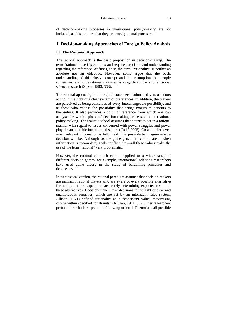of decision-making processes in international policy-making are not included, as this assumes that they are mostly mental processes.

# **I. Decision-making Approaches of Foreign Policy Analysis**

## **I.1 The Rational Approach**

The rational approach is the basic proposition in decision-making. The term "rational" itself is complex and requires precision and understanding regarding the reference. At first glance, the term "rationality" is neither an absolute nor an objective. However, some argue that the basic understanding of this elusive concept and the assumption that people sometimes tend to be rational creatures, is a significant basis for all social science research (Zisser, 1993: 333).

The rational approach, in its original state, sees national players as actors acting in the light of a clear system of preferences. In addition, the players are perceived as being conscious of every interchangeable possibility, and as those who choose the possibility that brings maximum benefits to themselves. It also provides a point of reference from which one can analyse the whole sphere of decision-making processes in international policy making. The realistic school assumes that countries act in a rational manner with regard to issues concerned with power struggles and power plays in an anarchic international sphere (Casif, 2005). On a simpler level, when relevant information is fully held, it is possible to imagine what a decision will be. Although, as the game gets more complicated—when information is incomplete, goals conflict, etc.—all these values make the use of the term "rational" very problematic.

However, the rational approach can be applied to a wider range of different decision games, for example, international relations researchers have used game theory in the study of bargaining processes and deterrence.

In its classical version, the rational paradigm assumes that decision-makers are primarily rational players who are aware of every possible alternative for action, and are capable of accurately determining expected results of these alternatives. Decision-makers take decisions in the light of clear and unambiguous priorities, which are set by an intelligent rules system. Allison (1971) defined rationality as a "consistent value, maximising choice within specified constraints" (Allison, 1971, 30). Other researchers perform three basic steps in the following order: 1. **Formulate** all possible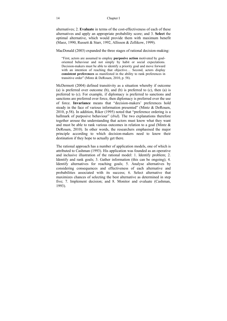alternatives; 2. **Evaluate** in terms of the cost-effectiveness of each of these alternatives and apply an appropriate probability score; and 3. **Select** the optimal alternative, which would provide them with maximum benefit (Maoz, 1990, Russett & Starr, 1992, Allisson & Zellikow, 1999).

MacDonald (2003) expanded the three stages of rational decision-making:

"First, actors are assumed to employ **purposive action** motivated by goaloriented behaviour and not simply by habit or social expectations. Decision-makers must be able to identify a priority goal and move forward with an intention of reaching that objective... Second, actors display **consistent preferences** as manifested in the ability to rank preferences in transitive order" (Mintz & DeRouen, 2010, p. 58).

McDermott (2004) defined transitivity as a situation whereby if outcome (a) is preferred over outcome (b), and (b) is preferred to  $(c)$ , then  $(a)$  is preferred to (c). For example, if diplomacy is preferred to sanctions and sanctions are preferred over force, then diplomacy is preferred over the use of force. **Invariance** means that "decision-makers' preferences hold steady in the face of various information presented" (Mintz & DeRouen, 2010, p.58). In addition, Riker (1995) noted that "preference ordering is a hallmark of purposive behaviour" (*ibid*). The two explanations therefore together arouse the understanding that actors must know what they want and must be able to rank various outcomes in relation to a goal (Mintz & DeRouen, 2010). In other words, the researchers emphasised the major principle according to which decision-makers need to know their destination if they hope to actually get there.

The rational approach has a number of application models, one of which is attributed to Cashman (1993). His application was founded as an operative and inclusive illustration of the rational model: 1. Identify problem; 2. Identify and rank goals; 3. Gather information (this can be ongoing); 4. Identify alternatives for reaching goals; 5. Analyse alternatives by considering consequences and effectiveness of each alternative and probabilities associated with its success; 6. Select alternative that maximizes chances of selecting the best alternative as determined in step five; 7. Implement decision; and 8. Monitor and evaluate (Cashman, 1993).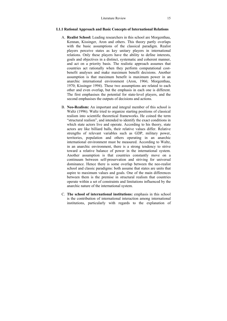### **I.1.1 Rational Approach and Basic Concepts of International Relations**

- A. **Realist School:** Leading researchers in this school are Morgenthau, Kennan, Kissinger, Aron and others. This theory partly overlaps with the basic assumptions of the classical paradigm. Realist players perceive states as key unitary players in international relations. Only these players have the ability to define interests, goals and objectives in a distinct, systematic and coherent manner, and act on a priority basis. The realistic approach assumes that countries act rationally when they perform computational costbenefit analyses and make maximum benefit decisions. Another assumption is that maximum benefit is maximum power in an anarchic international environment (Aron, 1966; Morgenthau, 1970; Kissinger 1994). These two assumptions are related to each other and even overlap, but the emphasis in each one is different. The first emphasises the potential for state-level players, and the second emphasises the outputs of decisions and actions.
- B. **Neo-Realism:** An important and integral member of this school is Waltz (1996). Waltz tried to organize starting positions of classical realism into scientific theoretical frameworks. He coined the term "structural realism", and intended to identify the exact conditions in which state actors live and operate. According to his theory, state actors are like billiard balls, their relative values differ. Relative strengths of relevant variables such as GDP, military power, territories, population and others operating in an anarchic international environment must be measured. According to Waltz, in an anarchic environment, there is a strong tendency to strive toward a relative balance of power in the international system. Another assumption is that countries constantly move on a continuum between self-preservation and striving for universal dominance. Hence there is some overlap between the neo-realist school and classic paradigms: both assume that states are units that aspire to maximum values and goals. One of the main differences between them is the premise in structural realism that countries operate within a set of constraints and limitations influenced by the anarchic nature of the international system.
- C. **The school of international institutions:** emphasis in this school is the contribution of international interaction among international institutions, particularly with regards to the explanation of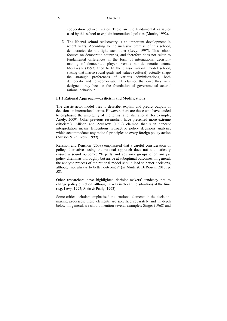### 16 Chapter I

cooperation between states. These are the fundamental variables used by this school to explain international politics (Martin, 1992).

D. **The liberal school** rediscovery is an important development in recent years. According to the inclusive premise of this school, democracies do not fight each other (Levy, 1997). This school focuses on democratic countries, and therefore does not relate to fundamental differences in the form of international decisionmaking of democratic players versus non-democratic actors. Moravcsik (1997) tried to fit the classic rational model school, stating that macro social goals and values (cultural) actually shape the strategic preferences of various administrations, both democratic and non-democratic. He claimed that once they were designed, they became the foundation of governmental actors' rational behaviour.

### **I.1.2 Rational Approach—Criticism and Modifications**

The classic actor model tries to describe, explain and predict outputs of decisions in international terms. However, there are those who have tended to emphasise the ambiguity of the terms rational/irrational (for example, Ariely, 2009). Other previous researchers have presented more extreme criticism.). Allison and Zellikow (1999) claimed that such concept interpretation means tendentious retroactive policy decisions analysis, which accommodates any rational principles to every foreign policy action (Allison & Zellikow, 1999).

Renshon and Renshon (2008) emphasised that a careful consideration of policy alternatives using the rational approach does not automatically ensure a sound outcome: "Experts and advisory groups often analyse policy dilemmas thoroughly but arrive at suboptimal outcomes. In general, the analytic process of the rational model should lead to better decisions, although not always to better outcomes" (in Mintz & DeRouen, 2010, p. 58).

Other researchers have highlighted decision-makers' tendency not to change policy direction, although it was irrelevant to situations at the time (e.g. Levy, 1992; Stein & Pauly, 1993).

Some critical scholars emphasised the irrational elements in the decisionmaking processes: these elements are specified separately and in depth below. In general, we should mention several examples: Singer (1968) and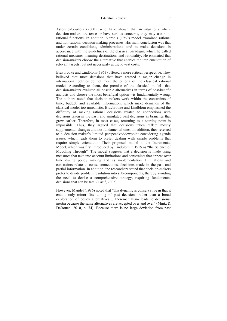#### Literature Review 17

Astorino-Courtois (2000), who have shown that in situations where decision-makers are tense or have serious concerns, they may use nonrational functions. In addition, Verba's (1969) model examined rational and non-rational decision-making processes. His main conclusion was that under certain conditions, administrations tend to make decisions in accordance with the guidelines of the classical paradigm, which he called rational measures meaning destinations and rationality. He estimated that decision-makers choose the alternative that enables the implementation of relevant targets, but not necessarily at the lowest costs.

Braybrooke and Lindblom (1963) offered a more critical perspective. They believed that most decisions that have created a major change in international politics do not meet the criteria of the classical rational model. According to them, the premise of the classical model—that decision-makers evaluate all possible alternatives in terms of cost-benefit analysis and choose the most beneficial option—is fundamentally wrong. The authors noted that decision-makers work within the constraints of time, budget, and available information, which make demands of the classical model too unrealistic. Braybrooke and Lindblom emphasised the difficulty of making rational decisions related to connections with decisions taken in the past, and simulated past decisions as branches that grew earlier. Therefore, in most cases, returning to a starting point is impossible. Thus, they argued that decisions taken reflect mostly supplemental changes and not fundamental ones. In addition, they referred to a decision-maker's limited perspective/viewpoint considering agenda issues, which leads them to prefer dealing with simple problems that require simple orientation. Their proposed model is the Incremental Model, which was first introduced by Lindblom in 1959 as "the Science of Muddling Through". The model suggests that a decision is made using measures that take into account limitations and constraints that appear over time during policy making and its implementation. Limitations and constraints relate to costs, connections, decisions made in the past and partial information. In addition, the researchers stated that decision-makers prefer to divide problem resolution into sub-components, thereby avoiding the need to devise a comprehensive strategy, requiring fundamental decisions that can be fatal (Casif, 2005).

However, Mandel (1986) noted that "this dynamic is conservative in that it entails only minor fine tuning of past decisions rather than a broad exploration of policy alternatives… Incrementalism leads to decisional inertia because the same alternatives are accepted over and over" (Mintz  $\&$ DeRouen, 2010, p. 74). Because there is no large deviation from past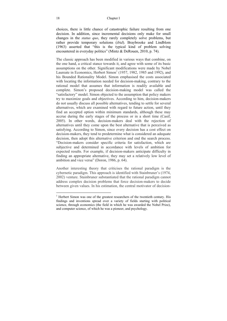#### 18 Chapter I

choices, there is little chance of catastrophic failure resulting from one decision. In addition, since incremental decisions only make for small changes in the *status quo*, they rarely completely solve problems, but rather provide temporary solutions (*ibid*). Braybrooke and Lindblom (1963) asserted that "this is the typical kind of problem solving encountered in everyday politics" (Mintz & DeRouen, 2010, p. 74).

The classic approach has been modified in various ways that combine, on the one hand, a critical stance towards it, and agree with some of its basic assumptions on the other. Significant modifications were made by Nobel Laureate in Economics, Herbert Simon<sup>1</sup> (1957, 1982, 1985 and 1992), and his Bounded Rationality Model. Simon emphasised the costs associated with locating the information needed for decision-making, contrary to the rational model that assumes that information is readily available and complete. Simon's proposed decision-making model was called the "satisfactory" model. Simon objected to the assumption that policy makers try to maximize goals and objectives. According to him, decision-makers do not usually discuss all possible alternatives, tending to settle for several alternatives, which are examined with regard to future action, until they find an accepted option within minimum standards, although these may accrue during the early stages of the process or in a short time (Casif, 2005). In other words, decision-makers deal with the rejection of alternatives until they come upon the best alternative that is perceived as satisfying. According to Simon, since every decision has a cost effect on decision-makers, they tend to predetermine what is considered an adequate decision, then adopt this alternative criterion and end the search process. "Decision-makers consider specific criteria for satisfaction, which are subjective and determined in accordance with levels of ambition for expected results. For example, if decision-makers anticipate difficulty in finding an appropriate alternative, they may set a relatively low level of ambition and vice versa" (Doron, 1986, p. 64).

Another interesting theory that criticises the rational paradigm is the cybernetic paradigm. This approach is identified with Stainbruner's (1974, 2002) venture. Stainbruner substantiated that the rational paradigm cannot address complex decision problems that force decision-makers to decide between given values. In his estimation, the central motivator of decision-

 $\overline{a}$ 

 $<sup>1</sup>$  Herbert Simon was one of the greatest researchers of the twentieth century. His</sup> findings and inventions spread over a variety of fields starting with political science, through economics (the field in which he was awarded the Nobel Prize), and computer science, of which he was a pioneer, and psychology.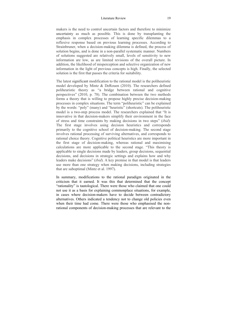### Literature Review 19

makers is the need to control uncertain factors and therefore to minimize uncertainty as much as possible. This is done by transplanting the emphasis in complex processes of learning specific dilemmas to a reflexive response based on previous learning processes. According to Strainbruner, when a decision-making dilemma is defined, the process of solution begins, and is done in a non-parallel systematic manner. Numbers of solutions suggested are relatively small, levels of sensitivity to new information are low, as are limited revisions of the overall picture. In addition, the likelihood of misperception and selective organization of new information in the light of previous concepts is high. Finally, the selected solution is the first that passes the criteria for suitability.

The latest significant modification to the rational model is the poliheuristic model developed by Mintz & DeRouen (2010). The researchers defined poliheuristic theory as "a bridge between rational and cognitive perspectives" (2010, p. 78). The combination between the two methods forms a theory that is willing to propose highly precise decision-making processes in complex situations. The term "poliheuristic" can be explained by the words: "poly" (many) and "heuristic" (shortcuts). The poliheuristic model is a two-step process model. The researchers explained that "It is innovative in that decision-makers simplify their environment in the face of stress and time constraints by making decisions in two steps" (*ibid*): The first stage involves using decision heuristics and corresponds primarily to the cognitive school of decision-making. The second stage involves rational processing of surviving alternatives, and corresponds to rational choice theory. Cognitive political heuristics are more important in the first stage of decision-making, whereas rational and maximising calculations are more applicable to the second stage. "This theory is applicable to single decisions made by leaders, group decisions, sequential decisions, and decisions in strategic settings and explains how and why leaders make decisions" (*ibid*). A key premise in that model is that leaders use more than one strategy when making decisions, including strategies that are suboptimal (Mintz et al. 1997).

In summary, modifications to the rational paradigm originated in the criticism that it earned. It was this that determined that the concept "rationality" is tautological. There were those who claimed that one could not use it as a basis for explaining commonplace situations, for example, in cases where decision-makers have to decide between contradictory alternatives. Others indicated a tendency not to change old policies even when their time had come. There were those who emphasised the nonrational components of decision-making processes that are relevant to the